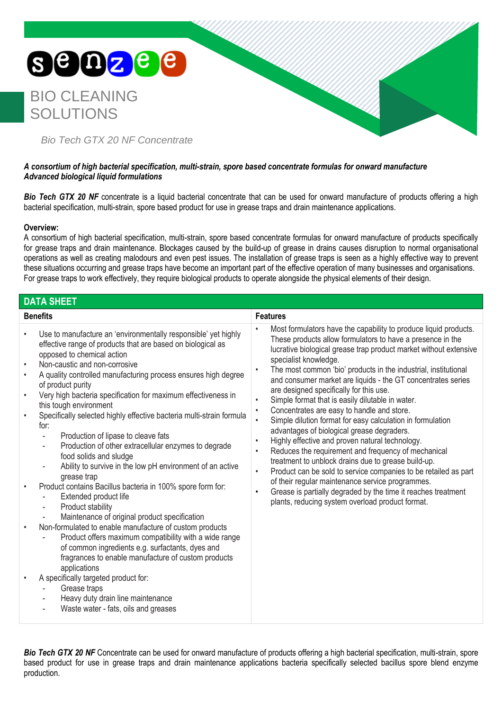## SOOZ<sup>e e</sup> BIO CLEANING SOLUTIONS *Bio Tech GTX 20 NF Concentrate*

## *A consortium of high bacterial specification, multi-strain, spore based concentrate formulas for onward manufacture Advanced biological liquid formulations*

**Bio Tech GTX 20 NF** concentrate is a liquid bacterial concentrate that can be used for onward manufacture of products offering a high bacterial specification, multi-strain, spore based product for use in grease traps and drain maintenance applications.

## **Overview:**

A consortium of high bacterial specification, multi-strain, spore based concentrate formulas for onward manufacture of products specifically for grease traps and drain maintenance. Blockages caused by the build-up of grease in drains causes disruption to normal organisational operations as well as creating malodours and even pest issues. The installation of grease traps is seen as a highly effective way to prevent these situations occurring and grease traps have become an important part of the effective operation of many businesses and organisations. For grease traps to work effectively, they require biological products to operate alongside the physical elements of their design.

| <b>DATA SHEET</b>                                                                                                                                                                                                                                                                                                                                                                                                                                                                                                                                                                                                                                                                                                                                                                                                                                                                                                                                                                                                                                                                                                                                                                                                                                                                                                                                                                                                 |                                                                                                                                                                                                                                                                                                                                                                                                                                                                                                                                                                                                                                                                                                                                                                                                                                                                                                                                                                                                                                                                                                                                                            |
|-------------------------------------------------------------------------------------------------------------------------------------------------------------------------------------------------------------------------------------------------------------------------------------------------------------------------------------------------------------------------------------------------------------------------------------------------------------------------------------------------------------------------------------------------------------------------------------------------------------------------------------------------------------------------------------------------------------------------------------------------------------------------------------------------------------------------------------------------------------------------------------------------------------------------------------------------------------------------------------------------------------------------------------------------------------------------------------------------------------------------------------------------------------------------------------------------------------------------------------------------------------------------------------------------------------------------------------------------------------------------------------------------------------------|------------------------------------------------------------------------------------------------------------------------------------------------------------------------------------------------------------------------------------------------------------------------------------------------------------------------------------------------------------------------------------------------------------------------------------------------------------------------------------------------------------------------------------------------------------------------------------------------------------------------------------------------------------------------------------------------------------------------------------------------------------------------------------------------------------------------------------------------------------------------------------------------------------------------------------------------------------------------------------------------------------------------------------------------------------------------------------------------------------------------------------------------------------|
| <b>Benefits</b>                                                                                                                                                                                                                                                                                                                                                                                                                                                                                                                                                                                                                                                                                                                                                                                                                                                                                                                                                                                                                                                                                                                                                                                                                                                                                                                                                                                                   | <b>Features</b>                                                                                                                                                                                                                                                                                                                                                                                                                                                                                                                                                                                                                                                                                                                                                                                                                                                                                                                                                                                                                                                                                                                                            |
| Use to manufacture an 'environmentally responsible' yet highly<br>$\bullet$<br>effective range of products that are based on biological as<br>opposed to chemical action<br>Non-caustic and non-corrosive<br>$\bullet$<br>A quality controlled manufacturing process ensures high degree<br>$\bullet$<br>of product purity<br>Very high bacteria specification for maximum effectiveness in<br>$\bullet$<br>this tough environment<br>Specifically selected highly effective bacteria multi-strain formula<br>$\bullet$<br>for:<br>Production of lipase to cleave fats<br>$\overline{\phantom{a}}$<br>Production of other extracellular enzymes to degrade<br>$\overline{\phantom{a}}$<br>food solids and sludge<br>Ability to survive in the low pH environment of an active<br>grease trap<br>Product contains Bacillus bacteria in 100% spore form for:<br>$\bullet$<br>Extended product life<br>Product stability<br>$\overline{\phantom{a}}$<br>Maintenance of original product specification<br>Non-formulated to enable manufacture of custom products<br>$\bullet$<br>Product offers maximum compatibility with a wide range<br>of common ingredients e.g. surfactants, dyes and<br>fragrances to enable manufacture of custom products<br>applications<br>A specifically targeted product for:<br>$\bullet$<br>Grease traps<br>Heavy duty drain line maintenance<br>Waste water - fats, oils and greases | Most formulators have the capability to produce liquid products.<br>$\bullet$<br>These products allow formulators to have a presence in the<br>lucrative biological grease trap product market without extensive<br>specialist knowledge.<br>The most common 'bio' products in the industrial, institutional<br>$\bullet$<br>and consumer market are liquids - the GT concentrates series<br>are designed specifically for this use.<br>Simple format that is easily dilutable in water.<br>$\bullet$<br>Concentrates are easy to handle and store.<br>$\bullet$<br>Simple dilution format for easy calculation in formulation<br>$\bullet$<br>advantages of biological grease degraders.<br>Highly effective and proven natural technology.<br>$\bullet$<br>Reduces the requirement and frequency of mechanical<br>$\bullet$<br>treatment to unblock drains due to grease build-up.<br>Product can be sold to service companies to be retailed as part<br>$\bullet$<br>of their regular maintenance service programmes.<br>Grease is partially degraded by the time it reaches treatment<br>$\bullet$<br>plants, reducing system overload product format. |

**Bio Tech GTX 20 NF** Concentrate can be used for onward manufacture of products offering a high bacterial specification, multi-strain, spore based product for use in grease traps and drain maintenance applications bacteria specifically selected bacillus spore blend enzyme production.